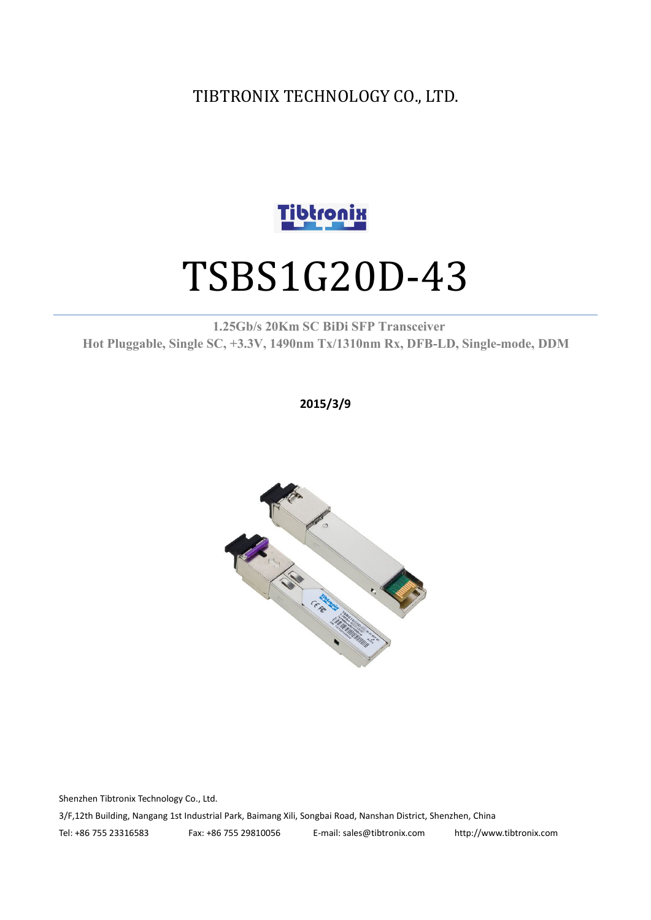TIBTRONIX TECHNOLOGY CO., LTD.



# TSBS1G20D-43

**1.25Gb/s 20Km SC BiDi SFP Transceiver Hot Pluggable, Single SC, +3.3V, 1490nm Tx/1310nm Rx, DFB-LD,Single-mode, DDM**

**2015/3/9**



Shenzhen Tibtronix Technology Co., Ltd. 3/F,12th Building, Nangang 1st Industrial Park, Baimang Xili, Songbai Road, Nanshan District, Shenzhen, China Tel: +86 755 23316583 Fax: +86 755 29810056 E-mail: sales@tibtronix.com http://www.tibtronix.com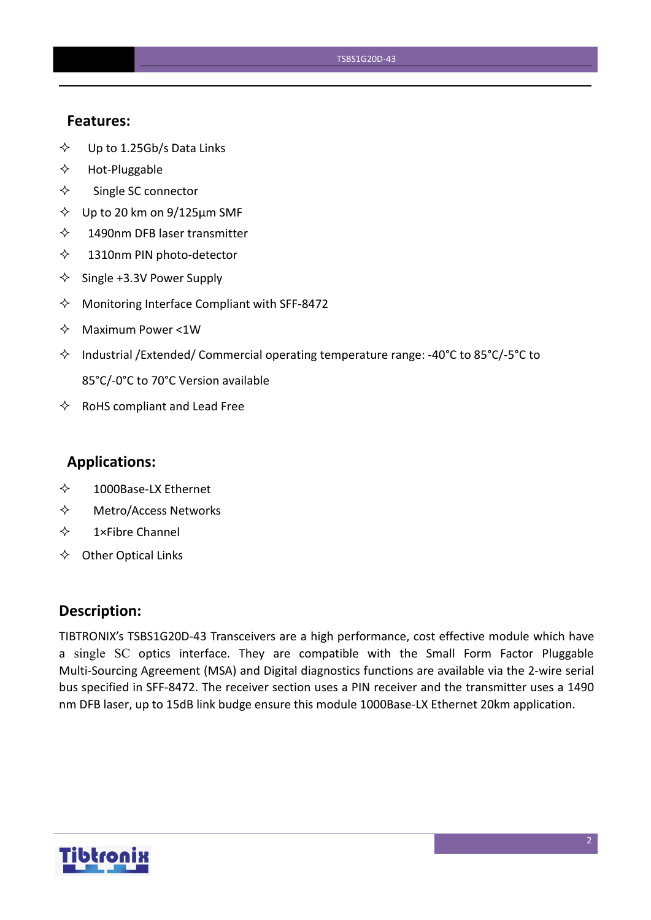#### **Features:**

- $\diamond$  Up to 1.25Gb/s Data Links
- $\Leftrightarrow$  Hot-Pluggable
- $\Leftrightarrow$  Single SC connector
- $\diamond$  Up to 20 km on 9/125 µm SMF
- $\diamond$  1490nm DFB laser transmitter
- $\diamond$  1310nm PIN photo-detector
- $\diamond$  Single +3.3V Power Supply
- $\Diamond$  Monitoring Interface Compliant with SFF-8472
- $\Leftrightarrow$  Maximum Power <1W
- $\Diamond$  Industrial /Extended/ Commercial operating temperature range: -40°C to 85°C/-5°C to 85°C/-0°C to 70°C Version available
- $\Leftrightarrow$  RoHS compliant and Lead Free

#### **Applications:**

- 1000Base-LX Ethernet
- Metro/Access Networks
- $\diamond$  1×Fibre Channel
- $\Leftrightarrow$  Other Optical Links

#### **Description:**

TIBTRONIX's TSBS1G20D-43 Transceivers are a high performance, cost effective module which have a single SC optics interface. They are compatible with the Small Form Factor Pluggable Multi-Sourcing Agreement (MSA) and Digital diagnostics functions are available via the 2-wire serial bus specified in SFF-8472. The receiver section uses a PIN receiver and the transmitter uses a 1490 nm DFB laser, up to 15dB link budge ensure this module 1000Base-LX Ethernet 20km application.

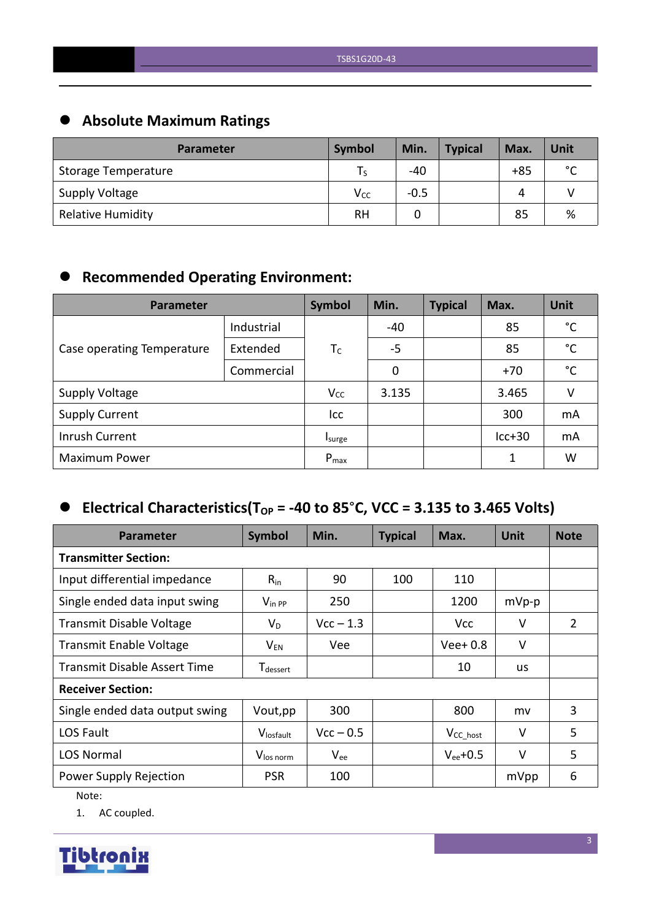# **Absolute Maximum Ratings**

| <b>Parameter</b>         | <b>Symbol</b>   | Min.   | <b>Typical</b> | Max.  | Unit        |
|--------------------------|-----------------|--------|----------------|-------|-------------|
| Storage Temperature      |                 | $-40$  |                | $+85$ | $\sim$<br>◡ |
| <b>Supply Voltage</b>    | V <sub>cc</sub> | $-0.5$ |                | Δ     |             |
| <b>Relative Humidity</b> | <b>RH</b>       |        |                | 85    | %           |

# **Recommended Operating Environment:**

| Parameter                  | Symbol     | Min.      | <b>Typical</b> | Max. | Unit     |              |
|----------------------------|------------|-----------|----------------|------|----------|--------------|
|                            | Industrial |           | -40            |      | 85       | $^{\circ}$ C |
| Case operating Temperature | Extended   | $T_C$     | $-5$           |      | 85       | $^{\circ}$ C |
|                            | Commercial |           | 0              |      | $+70$    | $^{\circ}$ C |
| <b>Supply Voltage</b>      |            | $V_{CC}$  | 3.135          |      | 3.465    | v            |
| <b>Supply Current</b>      |            | Icc       |                |      | 300      | mA           |
| Inrush Current             |            | Isurge    |                |      | $lcc+30$ | mA           |
| <b>Maximum Power</b>       |            | $P_{max}$ |                |      | 1        | W            |

## $\bullet$  Electrical Characteristics(T<sub>OP</sub> = -40 to 85°C, VCC = 3.135 to 3.465 Volts)

| <b>Parameter</b>                    | Symbol                | Min.        | <b>Typical</b> | Max.           | <b>Unit</b> | <b>Note</b>    |  |
|-------------------------------------|-----------------------|-------------|----------------|----------------|-------------|----------------|--|
| <b>Transmitter Section:</b>         |                       |             |                |                |             |                |  |
| Input differential impedance        | $R_{in}$              | 90          | 100            | 110            |             |                |  |
| Single ended data input swing       | $V_{\text{in PP}}$    | 250         |                | 1200           | $mVp-p$     |                |  |
| <b>Transmit Disable Voltage</b>     | $V_D$                 | $Vcc - 1.3$ |                | <b>Vcc</b>     | V           | $\overline{2}$ |  |
| <b>Transmit Enable Voltage</b>      | $V_{EN}$              | Vee         |                | $Vee+0.8$      | $\vee$      |                |  |
| <b>Transmit Disable Assert Time</b> | T <sub>dessert</sub>  |             |                | 10             | <b>us</b>   |                |  |
| <b>Receiver Section:</b>            |                       |             |                |                |             |                |  |
| Single ended data output swing      | Vout, pp              | 300         |                | 800            | mv          | 3              |  |
| LOS Fault                           | Vlosfault             | $Vcc - 0.5$ |                | $V_{CC\_host}$ | V           | 5              |  |
| <b>LOS Normal</b>                   | V <sub>los norm</sub> | $V_{ee}$    |                | $V_{ee}$ +0.5  | V           | 5              |  |
| Power Supply Rejection              | <b>PSR</b>            | 100         |                |                | mVpp        | 6              |  |

Note:

1. AC coupled.

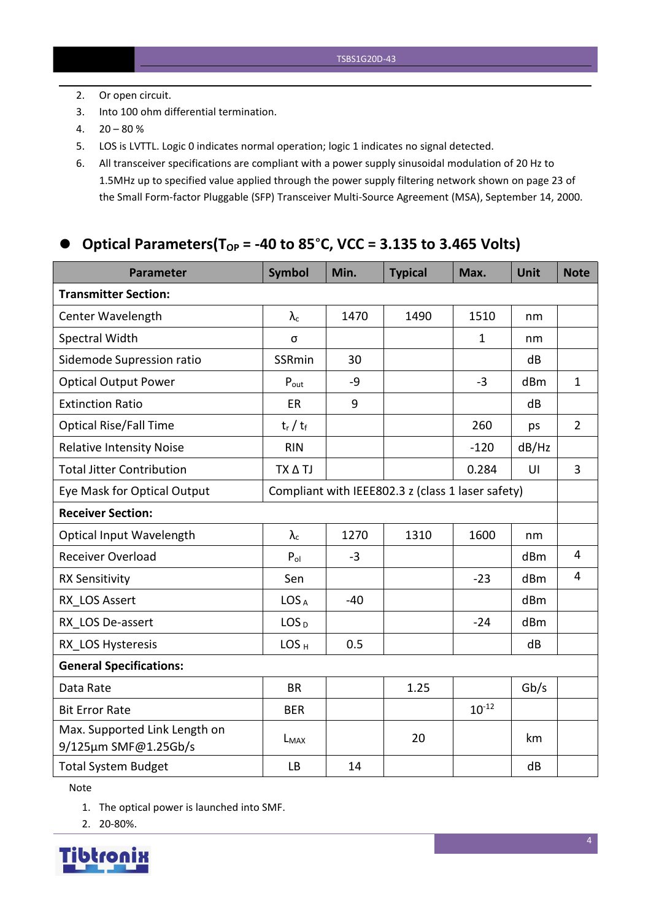- 2. Or open circuit.
- 3. Into 100 ohm differential termination.
- $4. \quad 20 80 \%$
- 5. LOS is LVTTL. Logic 0 indicates normal operation; logic 1 indicates no signal detected.
- 6. All transceiver specifications are compliant with a power supply sinusoidal modulation of 20 Hz to 1.5MHz up to specified value applied through the powersupply filtering network shown on page 23 of the Small Form-factor Pluggable (SFP) Transceiver Multi-Source Agreement (MSA), September 14, 2000.

## **Optical Parameters(TOP = -40 to 85**°**C, VCC = 3.135 to 3.465 Volts)**

| <b>Parameter</b>                                      | <b>Symbol</b>    | Min.  | <b>Typical</b>                                    | Max.         | <b>Unit</b>     | <b>Note</b>    |
|-------------------------------------------------------|------------------|-------|---------------------------------------------------|--------------|-----------------|----------------|
| <b>Transmitter Section:</b>                           |                  |       |                                                   |              |                 |                |
| Center Wavelength                                     | $\lambda_c$      | 1470  | 1490                                              | 1510         | nm              |                |
| Spectral Width                                        | σ                |       |                                                   | $\mathbf{1}$ | nm              |                |
| Sidemode Supression ratio                             | <b>SSRmin</b>    | 30    |                                                   |              | dB              |                |
| <b>Optical Output Power</b>                           | $P_{\text{out}}$ | $-9$  |                                                   | $-3$         | dBm             | $\mathbf{1}$   |
| <b>Extinction Ratio</b>                               | <b>ER</b>        | 9     |                                                   |              | dB              |                |
| <b>Optical Rise/Fall Time</b>                         | $t_r / t_f$      |       |                                                   | 260          | ps              | $\overline{2}$ |
| <b>Relative Intensity Noise</b>                       | <b>RIN</b>       |       |                                                   | $-120$       | dB/Hz           |                |
| <b>Total Jitter Contribution</b>                      | TX A TJ          |       |                                                   | 0.284        | UI              | $\overline{3}$ |
| Eye Mask for Optical Output                           |                  |       | Compliant with IEEE802.3 z (class 1 laser safety) |              |                 |                |
| <b>Receiver Section:</b>                              |                  |       |                                                   |              |                 |                |
| Optical Input Wavelength                              | $\lambda_c$      | 1270  | 1310                                              | 1600         | nm              |                |
| <b>Receiver Overload</b>                              | $P_{ol}$         | $-3$  |                                                   |              | dBm             | $\overline{4}$ |
| <b>RX Sensitivity</b>                                 | Sen              |       |                                                   | $-23$        | dB <sub>m</sub> | $\overline{4}$ |
| RX LOS Assert                                         | LOS <sub>A</sub> | $-40$ |                                                   |              | dBm             |                |
| RX LOS De-assert                                      | LOS <sub>D</sub> |       |                                                   | $-24$        | dB <sub>m</sub> |                |
| RX LOS Hysteresis                                     | LOS <sub>H</sub> | 0.5   |                                                   |              | dB              |                |
| <b>General Specifications:</b>                        |                  |       |                                                   |              |                 |                |
| Data Rate                                             | <b>BR</b>        |       | 1.25                                              |              | Gb/s            |                |
| <b>Bit Error Rate</b>                                 | <b>BER</b>       |       |                                                   | $10^{-12}$   |                 |                |
| Max. Supported Link Length on<br>9/125µm SMF@1.25Gb/s | $L_{MAX}$        |       | 20                                                |              | km              |                |
| <b>Total System Budget</b>                            | LB               | 14    |                                                   |              | dB              |                |

Note

1. The optical power is launched into SMF.

2. 20-80%.

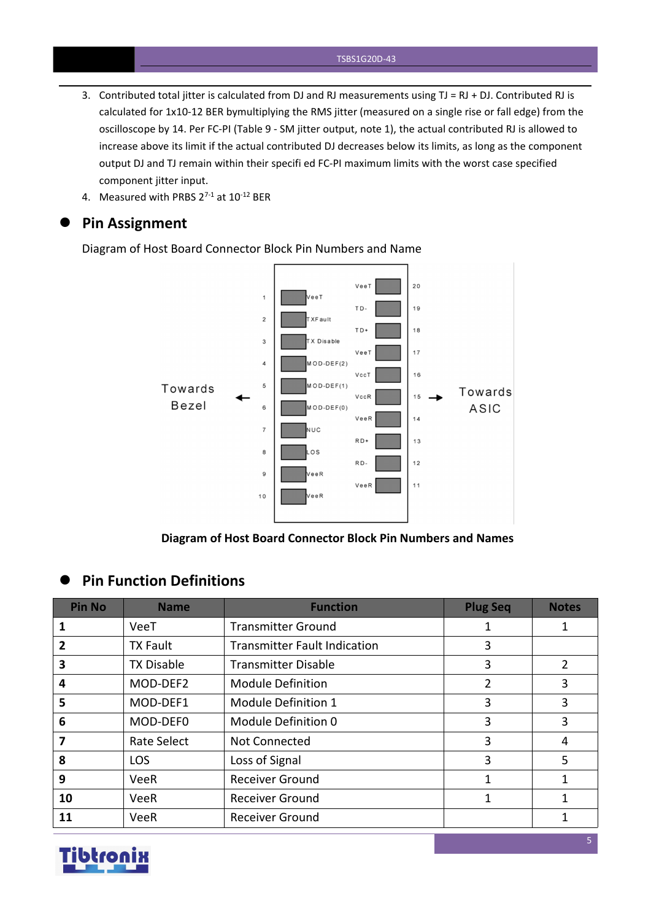- 3. Contributed total jitter is calculated from DJ and RJ measurements using  $TJ = RJ + DJ$ . Contributed RJ is calculated for 1x10-12 BER bymultiplying the RMS jitter (measured on a single rise or fall edge) from the oscilloscope by 14. Per FC-PI (Table 9 - SM jitter output, note 1), the actual contributed RJ is allowed to increase above its limit if the actual contributed DJ decreases below its limits, as long as the component output DJ and TJ remain within their specifi ed FC-PI maximum limits with the worst case specified component jitter input.
- 4. Measured with PRBS  $2^{7-1}$  at  $10^{-12}$  BER

#### **Pin Assignment**

Diagram of Host Board Connector Block Pin Numbers and Name



**Diagram of Host Board Connector Block Pin Numbers and Names**

#### **Pin Function Definitions**

| <b>Pin No</b> | <b>Name</b>       | <b>Function</b>                     | <b>Plug Seq</b> | <b>Notes</b>   |
|---------------|-------------------|-------------------------------------|-----------------|----------------|
|               | VeeT              | <b>Transmitter Ground</b>           |                 |                |
|               | <b>TX Fault</b>   | <b>Transmitter Fault Indication</b> | 3               |                |
| 3             | <b>TX Disable</b> | <b>Transmitter Disable</b>          | 3               | $\overline{2}$ |
| 4             | MOD-DEF2          | <b>Module Definition</b>            |                 | 3              |
| 5             | MOD-DEF1          | Module Definition 1                 | 3               | 3              |
| 6             | MOD-DEF0          | Module Definition 0                 | 3               | 3              |
|               | Rate Select       | Not Connected                       | 3               | 4              |
| 8             | <b>LOS</b>        | Loss of Signal                      | 3               | 5              |
| 9             | VeeR              | <b>Receiver Ground</b>              |                 |                |
| 10            | VeeR              | <b>Receiver Ground</b>              |                 |                |
| 11            | VeeR              | <b>Receiver Ground</b>              |                 |                |

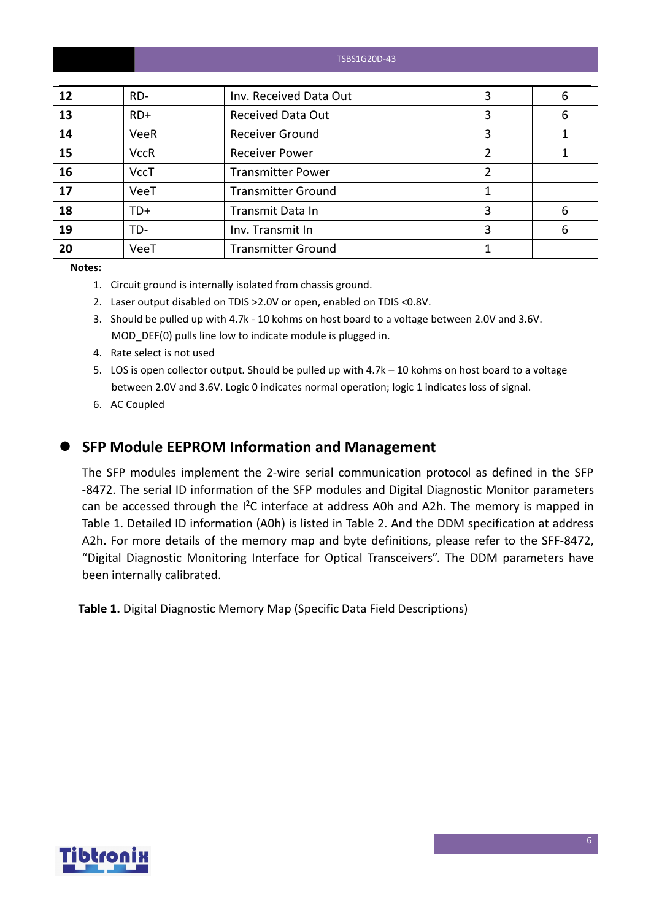| TSBS1G20D-43 |
|--------------|
|--------------|

| 12 | RD-         | Inv. Received Data Out    | 6 |
|----|-------------|---------------------------|---|
| 13 | $RD+$       | <b>Received Data Out</b>  | 6 |
| 14 | VeeR        | <b>Receiver Ground</b>    |   |
| 15 | <b>VccR</b> | <b>Receiver Power</b>     |   |
| 16 | <b>VccT</b> | <b>Transmitter Power</b>  |   |
| 17 | VeeT        | <b>Transmitter Ground</b> |   |
| 18 | TD+         | Transmit Data In          | 6 |
| 19 | TD-         | Inv. Transmit In          | 6 |
| 20 | VeeT        | <b>Transmitter Ground</b> |   |

**Notes:**

- 1. Circuit ground is internally isolated from chassis ground.
- 2. Laser output disabled on TDIS >2.0V or open, enabled on TDIS <0.8V.
- 3. Should be pulled up with 4.7k 10 kohms on host board to a voltage between 2.0V and 3.6V. MOD\_DEF(0) pulls line low to indicate module is plugged in.
- 4. Rate select is not used
- 5. LOS is open collector output. Should be pulled up with 4.7k 10 kohms on host board to a voltage between 2.0V and 3.6V. Logic 0 indicates normal operation; logic 1 indicates loss of signal.
- 6. AC Coupled
- 

#### **SFP Module EEPROM Information and Management**

The SFP modules implement the 2-wire serial communication protocol as defined in the SFP -8472. The serial ID information of the SFP modules and Digital Diagnostic Monitor parameters can be accessed through the I<sup>2</sup>C interface at address A0h and A2h. The memory is mapped in Table 1. Detailed ID information (A0h) is listed in Table 2. And the DDM specification at address A2h. For more details of the memory map and byte definitions, please refer to the SFF-8472, "Digital Diagnostic Monitoring Interface for Optical Transceivers". The DDM parameters have been internally calibrated.

**Table 1.** Digital Diagnostic Memory Map (Specific Data Field Descriptions)

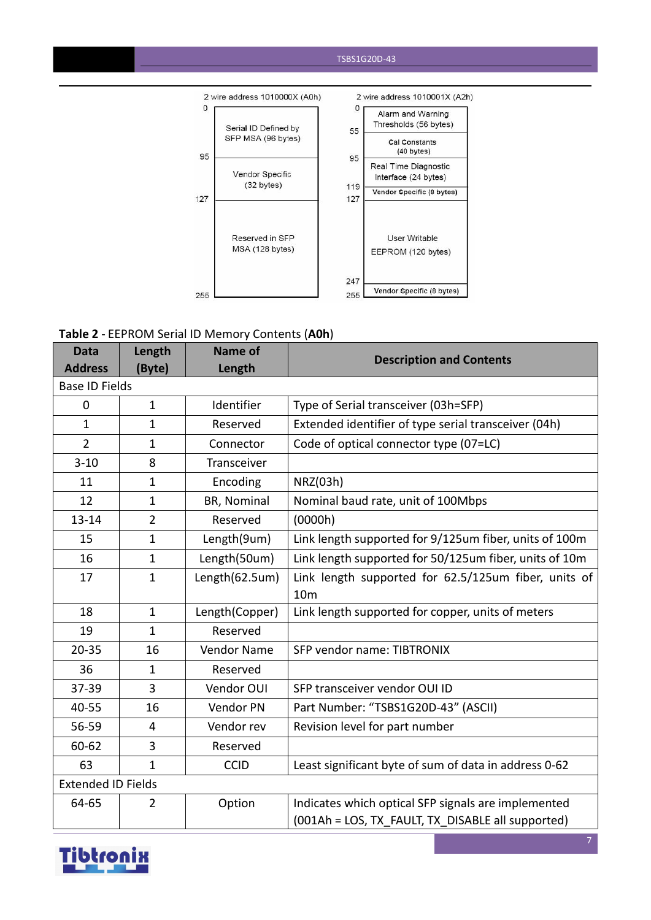#### TSBS1G20D-43



#### **Table 2** - EEPROM Serial ID Memory Contents (**A0h**)

| <b>Data</b>               | Length         | Name of        | <b>Description and Contents</b>                        |
|---------------------------|----------------|----------------|--------------------------------------------------------|
| <b>Address</b>            | (Byte)         | Length         |                                                        |
| <b>Base ID Fields</b>     |                |                |                                                        |
| $\mathbf 0$               | $\mathbf{1}$   | Identifier     | Type of Serial transceiver (03h=SFP)                   |
| $\mathbf{1}$              | $\mathbf{1}$   | Reserved       | Extended identifier of type serial transceiver (04h)   |
| $\overline{2}$            | 1              | Connector      | Code of optical connector type (07=LC)                 |
| $3 - 10$                  | 8              | Transceiver    |                                                        |
| 11                        | $\mathbf{1}$   | Encoding       | NRZ(03h)                                               |
| 12                        | $\mathbf{1}$   | BR, Nominal    | Nominal baud rate, unit of 100Mbps                     |
| $13 - 14$                 | $\overline{2}$ | Reserved       | (0000h)                                                |
| 15                        | $\mathbf{1}$   | Length(9um)    | Link length supported for 9/125um fiber, units of 100m |
| 16                        | $\mathbf{1}$   | Length(50um)   | Link length supported for 50/125um fiber, units of 10m |
| 17                        | $\mathbf{1}$   | Length(62.5um) | Link length supported for 62.5/125um fiber, units of   |
|                           |                |                | 10 <sub>m</sub>                                        |
| 18                        | $\mathbf{1}$   | Length(Copper) | Link length supported for copper, units of meters      |
| 19                        | $\mathbf{1}$   | Reserved       |                                                        |
| $20 - 35$                 | 16             | Vendor Name    | SFP vendor name: TIBTRONIX                             |
| 36                        | $\mathbf{1}$   | Reserved       |                                                        |
| 37-39                     | 3              | Vendor OUI     | SFP transceiver vendor OUI ID                          |
| 40-55                     | 16             | Vendor PN      | Part Number: "TSBS1G20D-43" (ASCII)                    |
| 56-59                     | $\overline{4}$ | Vendor rev     | Revision level for part number                         |
| 60-62                     | 3              | Reserved       |                                                        |
| 63                        | $\mathbf{1}$   | <b>CCID</b>    | Least significant byte of sum of data in address 0-62  |
| <b>Extended ID Fields</b> |                |                |                                                        |
| 64-65                     | $\overline{2}$ | Option         | Indicates which optical SFP signals are implemented    |
|                           |                |                | (001Ah = LOS, TX FAULT, TX DISABLE all supported)      |

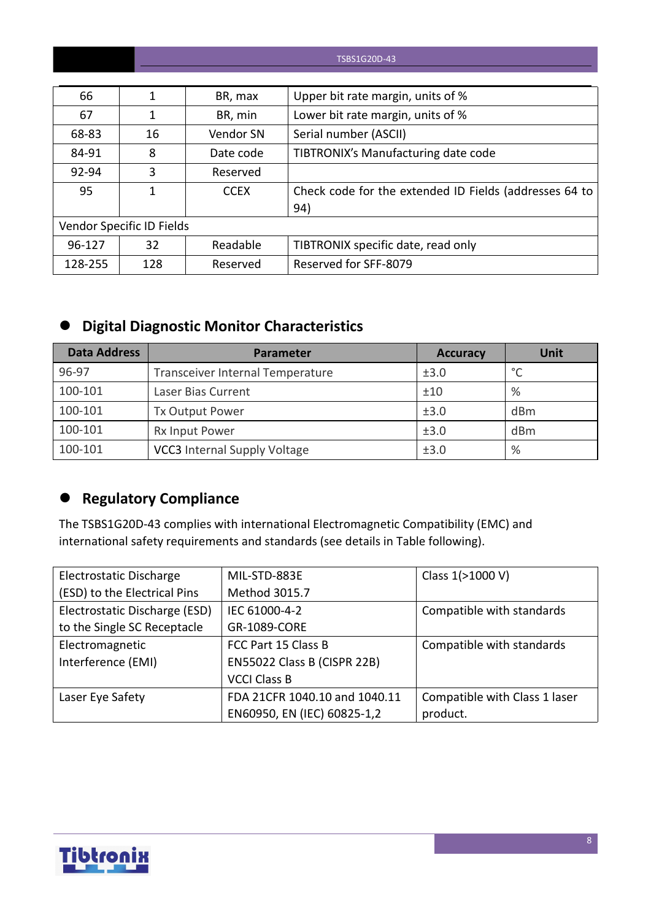#### TSBS1G20D-43

| 66      |                           | BR, max     | Upper bit rate margin, units of %                      |
|---------|---------------------------|-------------|--------------------------------------------------------|
| 67      |                           | BR, min     | Lower bit rate margin, units of %                      |
| 68-83   | 16                        | Vendor SN   | Serial number (ASCII)                                  |
| 84-91   | 8                         | Date code   | TIBTRONIX's Manufacturing date code                    |
| 92-94   | 3                         | Reserved    |                                                        |
| 95      |                           | <b>CCEX</b> | Check code for the extended ID Fields (addresses 64 to |
|         |                           |             | 94)                                                    |
|         | Vendor Specific ID Fields |             |                                                        |
| 96-127  | 32                        | Readable    | TIBTRONIX specific date, read only                     |
| 128-255 | 128                       | Reserved    | Reserved for SFF-8079                                  |

## **Digital Diagnostic Monitor Characteristics**

| <b>Data Address</b> | <b>Parameter</b>                    | <b>Accuracy</b> | Unit          |
|---------------------|-------------------------------------|-----------------|---------------|
| 96-97               | Transceiver Internal Temperature    | ±3.0            | $\circ$       |
| 100-101             | Laser Bias Current                  | ±10             | $\frac{9}{6}$ |
| 100-101             | Tx Output Power                     | ±3.0            | dBm           |
| 100-101             | <b>Rx Input Power</b>               | ±3.0            | dBm           |
| 100-101             | <b>VCC3</b> Internal Supply Voltage | ±3.0            | %             |

## **Regulatory Compliance**

The TSBS1G20D-43 complies with international Electromagnetic Compatibility (EMC) and international safety requirements and standards (see details in Table following).

| Electrostatic Discharge       | MIL-STD-883E                  | Class 1(>1000 V)              |
|-------------------------------|-------------------------------|-------------------------------|
| (ESD) to the Electrical Pins  | Method 3015.7                 |                               |
| Electrostatic Discharge (ESD) | IEC 61000-4-2                 | Compatible with standards     |
| to the Single SC Receptacle   | GR-1089-CORE                  |                               |
| Electromagnetic               | FCC Part 15 Class B           | Compatible with standards     |
| Interference (EMI)            | EN55022 Class B (CISPR 22B)   |                               |
|                               | <b>VCCI Class B</b>           |                               |
| Laser Eye Safety              | FDA 21CFR 1040.10 and 1040.11 | Compatible with Class 1 laser |
|                               | EN60950, EN (IEC) 60825-1,2   | product.                      |

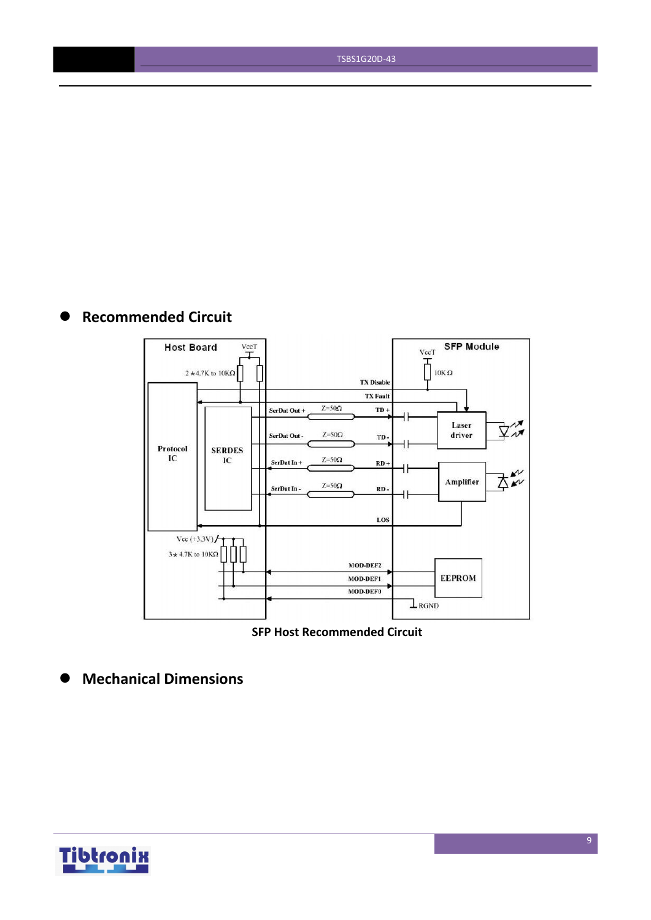TSBS1G20D-43

## **Recommended Circuit**



**SFP Host Recommended Circuit**

**Mechanical Dimensions**